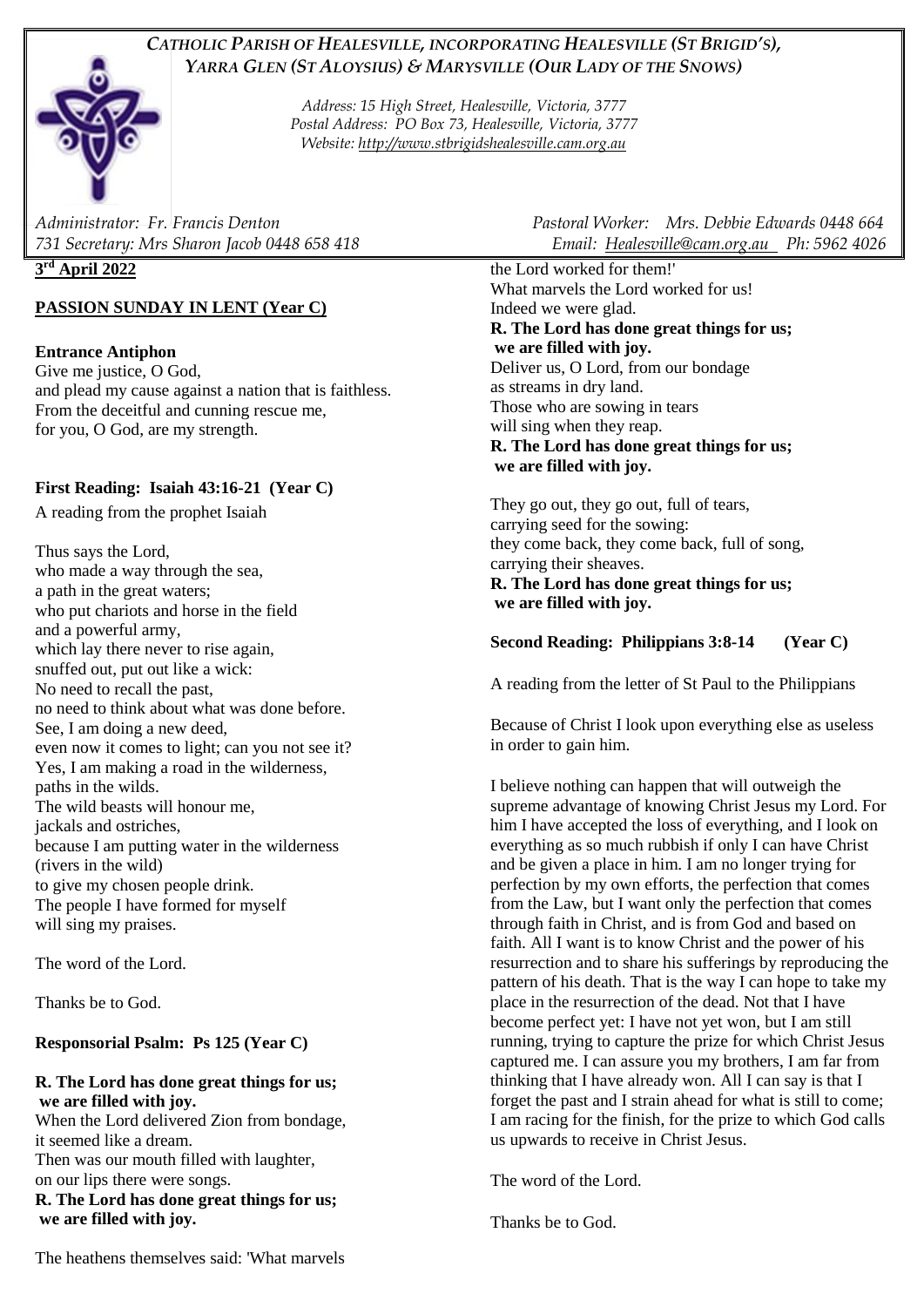# *CATHOLIC PARISH OF HEALESVILLE, INCORPORATING HEALESVILLE (ST BRIGID'S), YARRA GLEN (ST ALOYSIUS) & MARYSVILLE (OUR LADY OF THE SNOWS)*



*Address: 15 High Street, Healesville, Victoria, 3777 Postal Address: PO Box 73, Healesville, Victoria, 3777 Website: [http://www.stbrigidshealesville.cam.org.au](http://www.stbrigidshealesville.cam.org.au/)*

## **3 rd April 2022**

# **PASSION SUNDAY IN LENT (Year C)**

## **Entrance Antiphon**

Give me justice, O God, and plead my cause against a nation that is faithless. From the deceitful and cunning rescue me, for you, O God, are my strength.

# **First Reading: Isaiah 43:16-21 (Year C)**

A reading from the prophet Isaiah

Thus says the Lord, who made a way through the sea, a path in the great waters; who put chariots and horse in the field and a powerful army, which lay there never to rise again, snuffed out, put out like a wick: No need to recall the past, no need to think about what was done before. See, I am doing a new deed, even now it comes to light; can you not see it? Yes, I am making a road in the wilderness, paths in the wilds. The wild beasts will honour me, jackals and ostriches, because I am putting water in the wilderness (rivers in the wild) to give my chosen people drink. The people I have formed for myself will sing my praises.

The word of the Lord.

Thanks be to God.

### **Responsorial Psalm: Ps 125 (Year C)**

#### **R. The Lord has done great things for us; we are filled with joy.**

When the Lord delivered Zion from bondage, it seemed like a dream. Then was our mouth filled with laughter, on our lips there were songs.

**R. The Lord has done great things for us; we are filled with joy.**

*Administrator: Fr. Francis Denton Pastoral Worker: Mrs. Debbie Edwards 0448 664 731 Secretary: Mrs Sharon Jacob 0448 658 418 Email: [Healesville@cam.org.au](mailto:Healesville@cam.org.au) Ph: 5962 4026* 

> the Lord worked for them!' What marvels the Lord worked for us! Indeed we were glad. **R. The Lord has done great things for us; we are filled with joy.** Deliver us, O Lord, from our bondage as streams in dry land. Those who are sowing in tears will sing when they reap. **R. The Lord has done great things for us; we are filled with joy.**

They go out, they go out, full of tears, carrying seed for the sowing: they come back, they come back, full of song, carrying their sheaves.

### **R. The Lord has done great things for us; we are filled with joy.**

# **Second Reading: Philippians 3:8-14 (Year C)**

A reading from the letter of St Paul to the Philippians

Because of Christ I look upon everything else as useless in order to gain him.

I believe nothing can happen that will outweigh the supreme advantage of knowing Christ Jesus my Lord. For him I have accepted the loss of everything, and I look on everything as so much rubbish if only I can have Christ and be given a place in him. I am no longer trying for perfection by my own efforts, the perfection that comes from the Law, but I want only the perfection that comes through faith in Christ, and is from God and based on faith. All I want is to know Christ and the power of his resurrection and to share his sufferings by reproducing the pattern of his death. That is the way I can hope to take my place in the resurrection of the dead. Not that I have become perfect yet: I have not yet won, but I am still running, trying to capture the prize for which Christ Jesus captured me. I can assure you my brothers, I am far from thinking that I have already won. All I can say is that I forget the past and I strain ahead for what is still to come; I am racing for the finish, for the prize to which God calls us upwards to receive in Christ Jesus.

The word of the Lord.

Thanks be to God.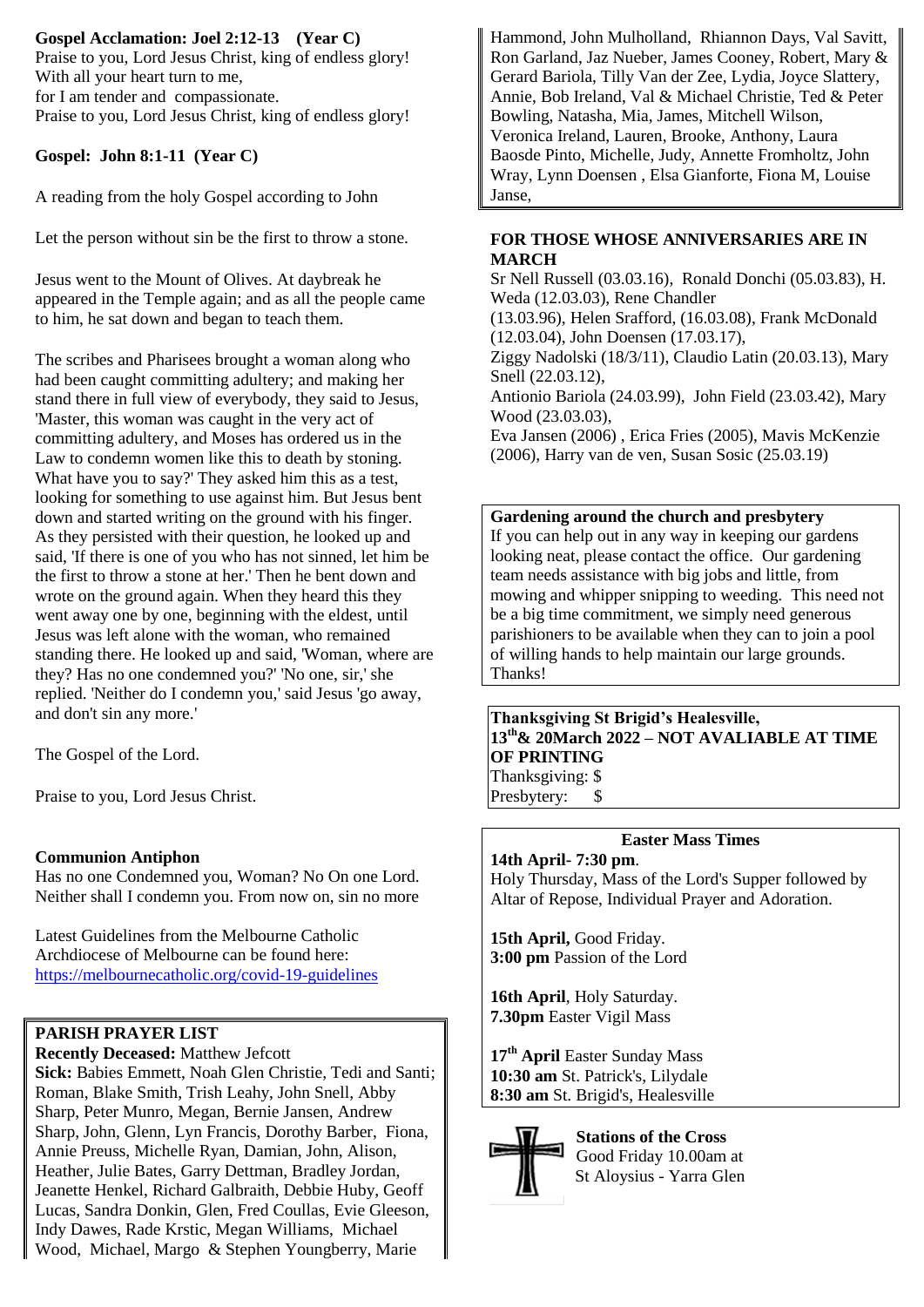# **Gospel Acclamation: Joel 2:12-13 (Year C)**

Praise to you, Lord Jesus Christ, king of endless glory! With all your heart turn to me, for I am tender and compassionate. Praise to you, Lord Jesus Christ, king of endless glory!

#### **Gospel: John 8:1-11 (Year C)**

A reading from the holy Gospel according to John

Let the person without sin be the first to throw a stone.

Jesus went to the Mount of Olives. At daybreak he appeared in the Temple again; and as all the people came to him, he sat down and began to teach them.

The scribes and Pharisees brought a woman along who had been caught committing adultery; and making her stand there in full view of everybody, they said to Jesus, 'Master, this woman was caught in the very act of committing adultery, and Moses has ordered us in the Law to condemn women like this to death by stoning. What have you to say?' They asked him this as a test, looking for something to use against him. But Jesus bent down and started writing on the ground with his finger. As they persisted with their question, he looked up and said, 'If there is one of you who has not sinned, let him be the first to throw a stone at her.' Then he bent down and wrote on the ground again. When they heard this they went away one by one, beginning with the eldest, until Jesus was left alone with the woman, who remained standing there. He looked up and said, 'Woman, where are they? Has no one condemned you?' 'No one, sir,' she replied. 'Neither do I condemn you,' said Jesus 'go away, and don't sin any more.'

The Gospel of the Lord.

Praise to you, Lord Jesus Christ.

### **Communion Antiphon**

Has no one Condemned you, Woman? No On one Lord. Neither shall I condemn you. From now on, sin no more

Latest Guidelines from the Melbourne Catholic Archdiocese of Melbourne can be found here: <https://melbournecatholic.org/covid-19-guidelines>

## **PARISH PRAYER LIST**

**Recently Deceased:** Matthew Jefcott **Sick:** Babies Emmett, Noah Glen Christie, Tedi and Santi; Roman, Blake Smith, Trish Leahy, John Snell, Abby Sharp, Peter Munro, Megan, Bernie Jansen, Andrew Sharp, John, Glenn, Lyn Francis, Dorothy Barber, Fiona, Annie Preuss, Michelle Ryan, Damian, John, Alison, Heather, Julie Bates, Garry Dettman, Bradley Jordan, Jeanette Henkel, Richard Galbraith, Debbie Huby, Geoff Lucas, Sandra Donkin, Glen, Fred Coullas, Evie Gleeson, Indy Dawes, Rade Krstic, Megan Williams, Michael Wood, Michael, Margo & Stephen Youngberry, Marie

Hammond, John Mulholland, Rhiannon Days, Val Savitt, Ron Garland, Jaz Nueber, James Cooney, Robert, Mary & Gerard Bariola, Tilly Van der Zee, Lydia, Joyce Slattery, Annie, Bob Ireland, Val & Michael Christie, Ted & Peter Bowling, Natasha, Mia, James, Mitchell Wilson, Veronica Ireland, Lauren, Brooke, Anthony, Laura Baosde Pinto, Michelle, Judy, Annette Fromholtz, John Wray, Lynn Doensen , Elsa Gianforte, Fiona M, Louise Janse,

#### **FOR THOSE WHOSE ANNIVERSARIES ARE IN MARCH**

Sr Nell Russell (03.03.16), Ronald Donchi (05.03.83), H. Weda (12.03.03), Rene Chandler (13.03.96), Helen Srafford, (16.03.08), Frank McDonald (12.03.04), John Doensen (17.03.17), Ziggy Nadolski (18/3/11), Claudio Latin (20.03.13), Mary Snell (22.03.12), Antionio Bariola (24.03.99), John Field (23.03.42), Mary Wood (23.03.03), Eva Jansen (2006) , Erica Fries (2005), Mavis McKenzie (2006), Harry van de ven, Susan Sosic (25.03.19)

#### **Gardening around the church and presbytery**

If you can help out in any way in keeping our gardens looking neat, please contact the office. Our gardening team needs assistance with big jobs and little, from mowing and whipper snipping to weeding. This need not be a big time commitment, we simply need generous parishioners to be available when they can to join a pool of willing hands to help maintain our large grounds. Thanks!

### **Thanksgiving St Brigid's Healesville, 13th& 20March 2022 – NOT AVALIABLE AT TIME OF PRINTING** Thanksgiving: \$

Presbytery: \$

#### **Easter Mass Times**

**14th April- 7:30 pm**.

Holy Thursday, Mass of the Lord's Supper followed by Altar of Repose, Individual Prayer and Adoration.

**15th April,** Good Friday. **3:00 pm** Passion of the Lord

**16th April**, Holy Saturday. **7.30pm** Easter Vigil Mass

**17th April** Easter Sunday Mass **10:30 am** St. Patrick's, Lilydale **8:30 am** St. Brigid's, Healesville



**Stations of the Cross** Good Friday 10.00am at St Aloysius - Yarra Glen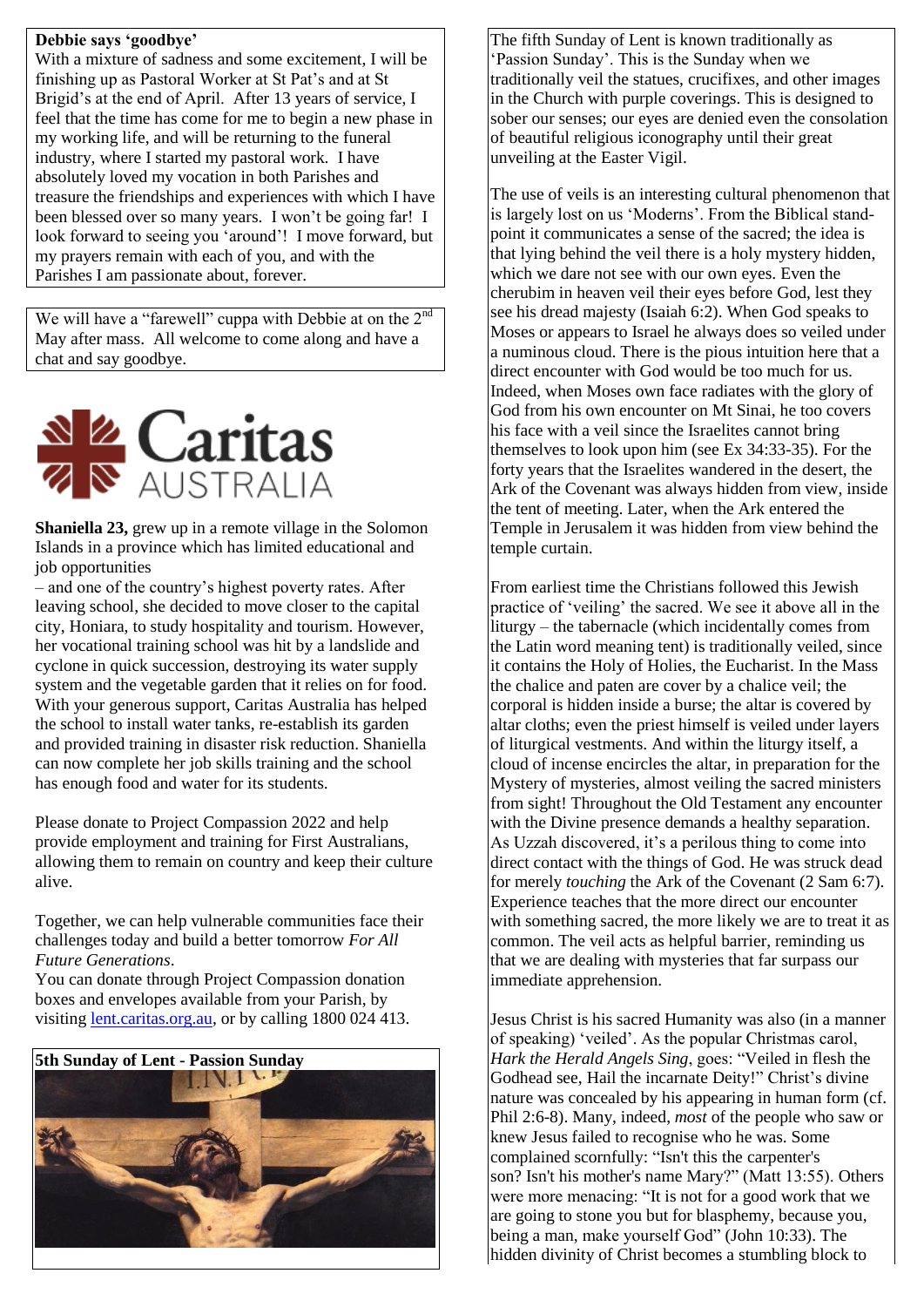### **Debbie says 'goodbye'**

With a mixture of sadness and some excitement, I will be finishing up as Pastoral Worker at St Pat's and at St Brigid's at the end of April. After 13 years of service, I feel that the time has come for me to begin a new phase in my working life, and will be returning to the funeral industry, where I started my pastoral work. I have absolutely loved my vocation in both Parishes and treasure the friendships and experiences with which I have been blessed over so many years. I won't be going far! I look forward to seeing you 'around'! I move forward, but my prayers remain with each of you, and with the Parishes I am passionate about, forever.

We will have a "farewell" cuppa with Debbie at on the 2<sup>nd</sup> May after mass. All welcome to come along and have a chat and say goodbye.



**Shaniella 23,** grew up in a remote village in the Solomon Islands in a province which has limited educational and job opportunities

– and one of the country's highest poverty rates. After leaving school, she decided to move closer to the capital city, Honiara, to study hospitality and tourism. However, her vocational training school was hit by a landslide and cyclone in quick succession, destroying its water supply system and the vegetable garden that it relies on for food. With your generous support, Caritas Australia has helped the school to install water tanks, re-establish its garden and provided training in disaster risk reduction. Shaniella can now complete her job skills training and the school has enough food and water for its students.

Please donate to Project Compassion 2022 and help provide employment and training for First Australians, allowing them to remain on country and keep their culture alive.

Together, we can help vulnerable communities face their challenges today and build a better tomorrow *For All Future Generations*.

You can donate through Project Compassion donation boxes and envelopes available from your Parish, by visiting [lent.caritas.org.au,](http://www.caritas.org.au/projectcompassion) or by calling 1800 024 413.



The fifth Sunday of Lent is known traditionally as 'Passion Sunday'. This is the Sunday when we traditionally veil the statues, crucifixes, and other images in the Church with purple coverings. This is designed to sober our senses; our eyes are denied even the consolation of beautiful religious iconography until their great unveiling at the Easter Vigil.

The use of veils is an interesting cultural phenomenon that is largely lost on us 'Moderns'. From the Biblical standpoint it communicates a sense of the sacred; the idea is that lying behind the veil there is a holy mystery hidden, which we dare not see with our own eyes. Even the cherubim in heaven veil their eyes before God, lest they see his dread majesty (Isaiah 6:2). When God speaks to Moses or appears to Israel he always does so veiled under a numinous cloud. There is the pious intuition here that a direct encounter with God would be too much for us. Indeed, when Moses own face radiates with the glory of God from his own encounter on Mt Sinai, he too covers his face with a veil since the Israelites cannot bring themselves to look upon him (see Ex 34:33-35). For the forty years that the Israelites wandered in the desert, the Ark of the Covenant was always hidden from view, inside the tent of meeting. Later, when the Ark entered the Temple in Jerusalem it was hidden from view behind the temple curtain.

From earliest time the Christians followed this Jewish practice of 'veiling' the sacred. We see it above all in the liturgy – the tabernacle (which incidentally comes from the Latin word meaning tent) is traditionally veiled, since it contains the Holy of Holies, the Eucharist. In the Mass the chalice and paten are cover by a chalice veil; the corporal is hidden inside a burse; the altar is covered by altar cloths; even the priest himself is veiled under layers of liturgical vestments. And within the liturgy itself, a cloud of incense encircles the altar, in preparation for the Mystery of mysteries, almost veiling the sacred ministers from sight! Throughout the Old Testament any encounter with the Divine presence demands a healthy separation. As Uzzah discovered, it's a perilous thing to come into direct contact with the things of God. He was struck dead for merely *touching* the Ark of the Covenant (2 Sam 6:7). Experience teaches that the more direct our encounter with something sacred, the more likely we are to treat it as common. The veil acts as helpful barrier, reminding us that we are dealing with mysteries that far surpass our immediate apprehension.

Jesus Christ is his sacred Humanity was also (in a manner of speaking) 'veiled'. As the popular Christmas carol, *Hark the Herald Angels Sing*, goes: "Veiled in flesh the Godhead see, Hail the incarnate Deity!" Christ's divine nature was concealed by his appearing in human form (cf. Phil 2:6-8). Many, indeed, *most* of the people who saw or knew Jesus failed to recognise who he was. Some complained scornfully: "Isn't this the carpenter's son? Isn't his mother's name Mary?" (Matt 13:55). Others were more menacing: "It is not for a good work that we are going to stone you but for blasphemy, because you, being a man, make yourself God" (John 10:33). The hidden divinity of Christ becomes a stumbling block to